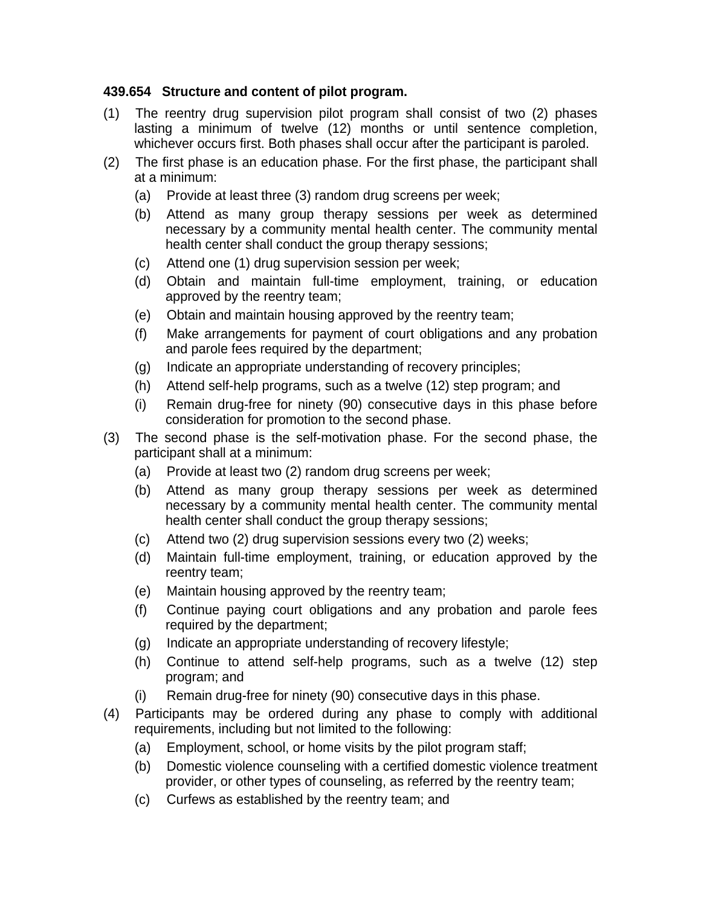## **439.654 Structure and content of pilot program.**

- (1) The reentry drug supervision pilot program shall consist of two (2) phases lasting a minimum of twelve (12) months or until sentence completion, whichever occurs first. Both phases shall occur after the participant is paroled.
- (2) The first phase is an education phase. For the first phase, the participant shall at a minimum:
	- (a) Provide at least three (3) random drug screens per week;
	- (b) Attend as many group therapy sessions per week as determined necessary by a community mental health center. The community mental health center shall conduct the group therapy sessions;
	- (c) Attend one (1) drug supervision session per week;
	- (d) Obtain and maintain full-time employment, training, or education approved by the reentry team;
	- (e) Obtain and maintain housing approved by the reentry team;
	- (f) Make arrangements for payment of court obligations and any probation and parole fees required by the department;
	- (g) Indicate an appropriate understanding of recovery principles;
	- (h) Attend self-help programs, such as a twelve (12) step program; and
	- (i) Remain drug-free for ninety (90) consecutive days in this phase before consideration for promotion to the second phase.
- (3) The second phase is the self-motivation phase. For the second phase, the participant shall at a minimum:
	- (a) Provide at least two (2) random drug screens per week;
	- (b) Attend as many group therapy sessions per week as determined necessary by a community mental health center. The community mental health center shall conduct the group therapy sessions;
	- (c) Attend two (2) drug supervision sessions every two (2) weeks;
	- (d) Maintain full-time employment, training, or education approved by the reentry team;
	- (e) Maintain housing approved by the reentry team;
	- (f) Continue paying court obligations and any probation and parole fees required by the department;
	- (g) Indicate an appropriate understanding of recovery lifestyle;
	- (h) Continue to attend self-help programs, such as a twelve (12) step program; and
	- (i) Remain drug-free for ninety (90) consecutive days in this phase.
- (4) Participants may be ordered during any phase to comply with additional requirements, including but not limited to the following:
	- (a) Employment, school, or home visits by the pilot program staff;
	- (b) Domestic violence counseling with a certified domestic violence treatment provider, or other types of counseling, as referred by the reentry team;
	- (c) Curfews as established by the reentry team; and